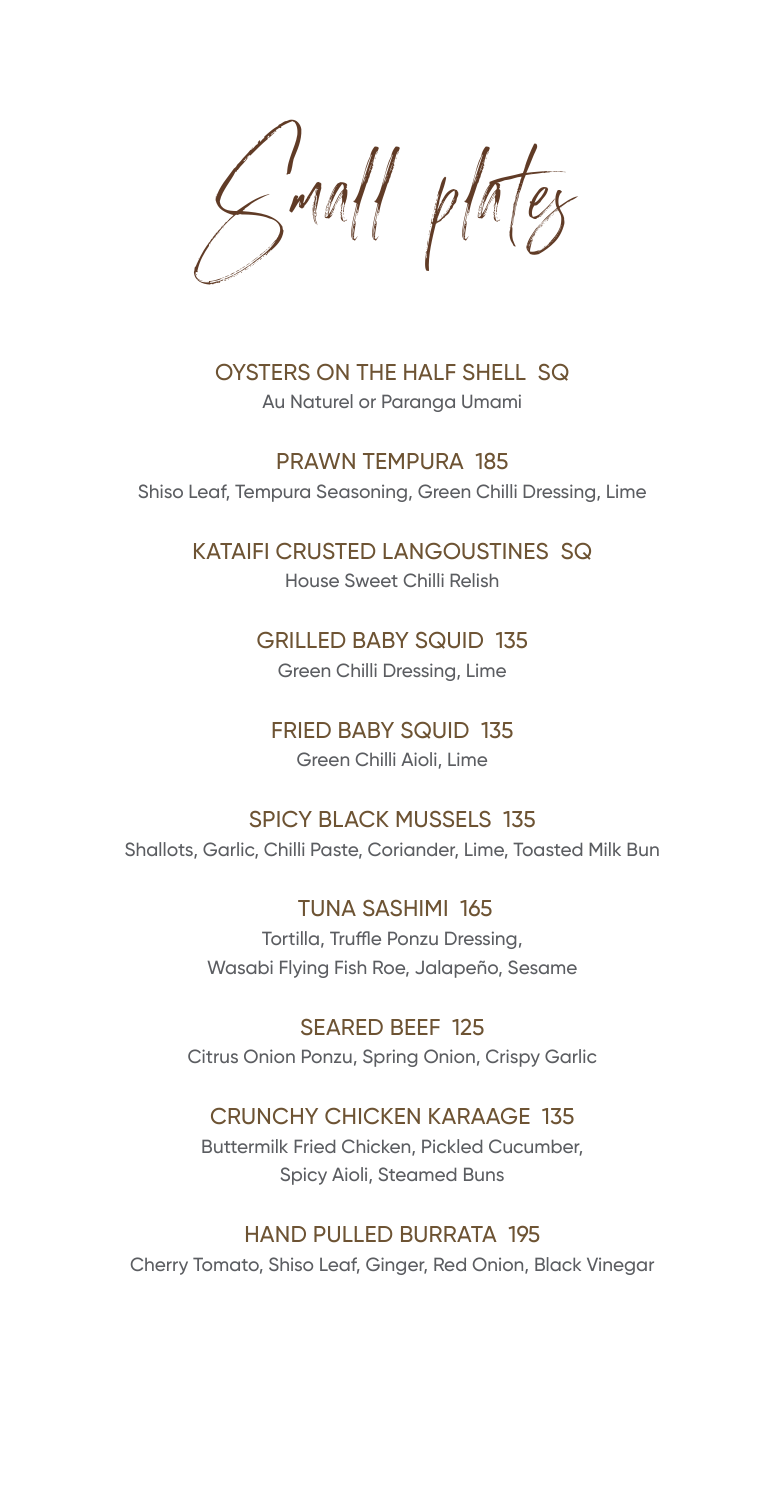Small plates

OYSTERS ON THE HALF SHELL SQ Au Naturel or Paranga Umami

PRAWN TEMPURA 185 Shiso Leaf, Tempura Seasoning, Green Chilli Dressing, Lime

KATAIFI CRUSTED LANGOUSTINES SQ

House Sweet Chilli Relish

### GRILLED BABY SQUID 135

Green Chilli Dressing, Lime

### FRIED BABY SQUID 135

Green Chilli Aioli, Lime

### SPICY BLACK MUSSELS 135

Shallots, Garlic, Chilli Paste, Coriander, Lime, Toasted Milk Bun

 TUNA SASHIMI 165 Tortilla, Truffle Ponzu Dressing, Wasabi Flying Fish Roe, Jalapeño, Sesame

SEARED BEEF 125 Citrus Onion Ponzu, Spring Onion, Crispy Garlic

### CRUNCHY CHICKEN KARAAGE 135

Buttermilk Fried Chicken, Pickled Cucumber, Spicy Aioli, Steamed Buns

### HAND PULLED BURRATA 195

Cherry Tomato, Shiso Leaf, Ginger, Red Onion, Black Vinegar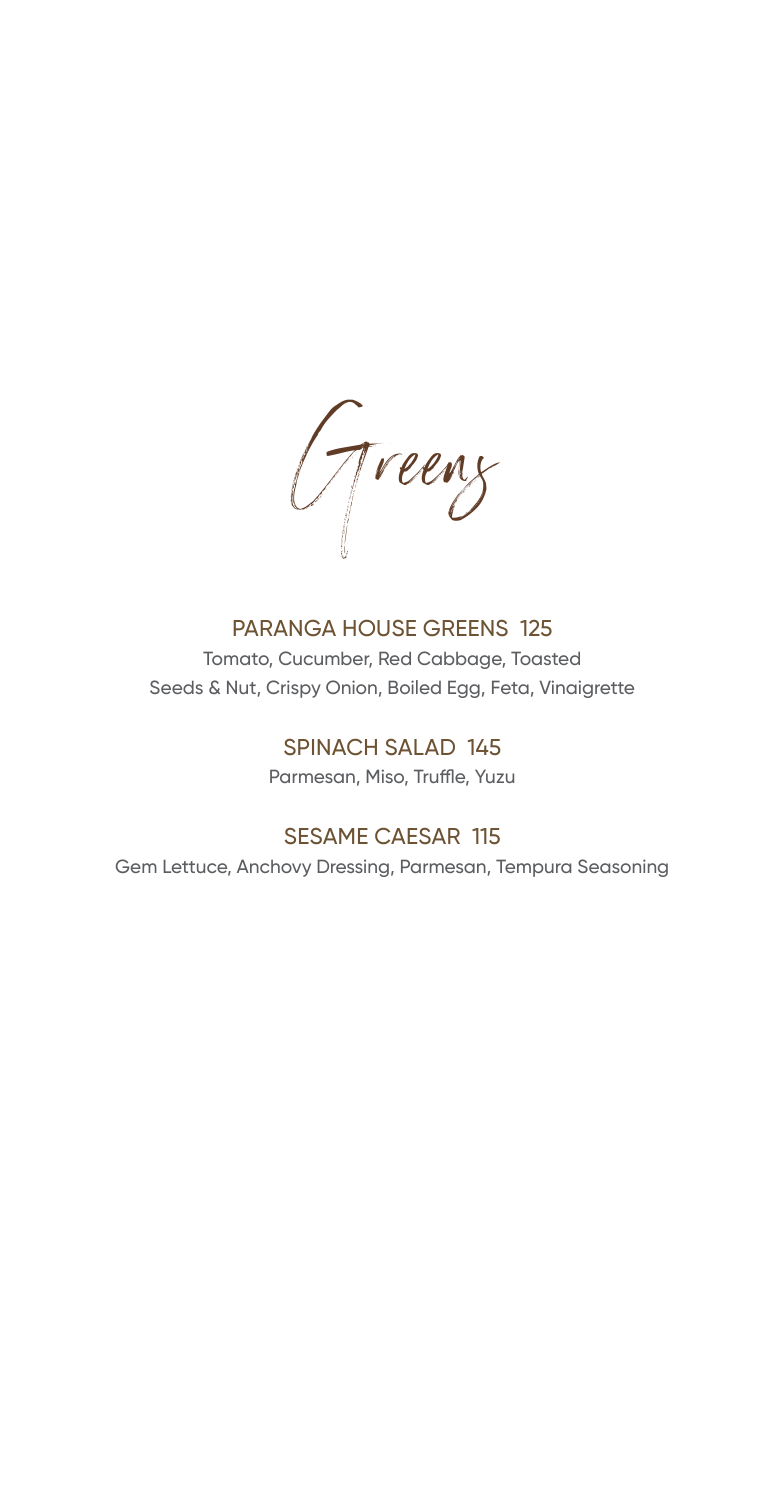Greens

## PARANGA HOUSE GREENS 125

Tomato, Cucumber, Red Cabbage, Toasted Seeds & Nut, Crispy Onion, Boiled Egg, Feta, Vinaigrette

### SPINACH SALAD 145

Parmesan, Miso, Truffle, Yuzu

# SESAME CAESAR 115

Gem Lettuce, Anchovy Dressing, Parmesan, Tempura Seasoning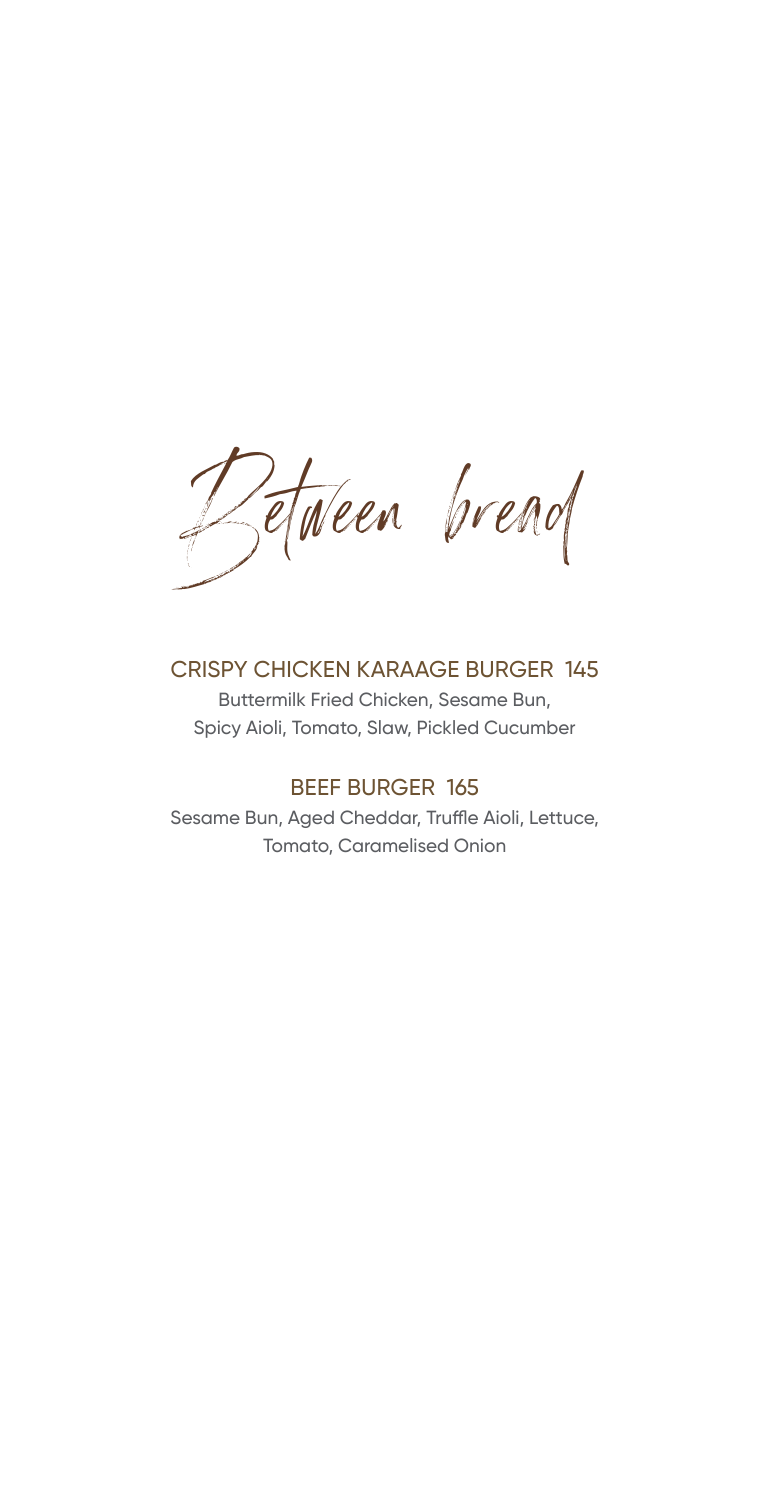Jetween bread

## CRISPY CHICKEN KARAAGE BURGER 145

Buttermilk Fried Chicken, Sesame Bun, Spicy Aioli, Tomato, Slaw, Pickled Cucumber

## BEEF BURGER 165

Sesame Bun, Aged Cheddar, Truffle Aioli, Lettuce, Tomato, Caramelised Onion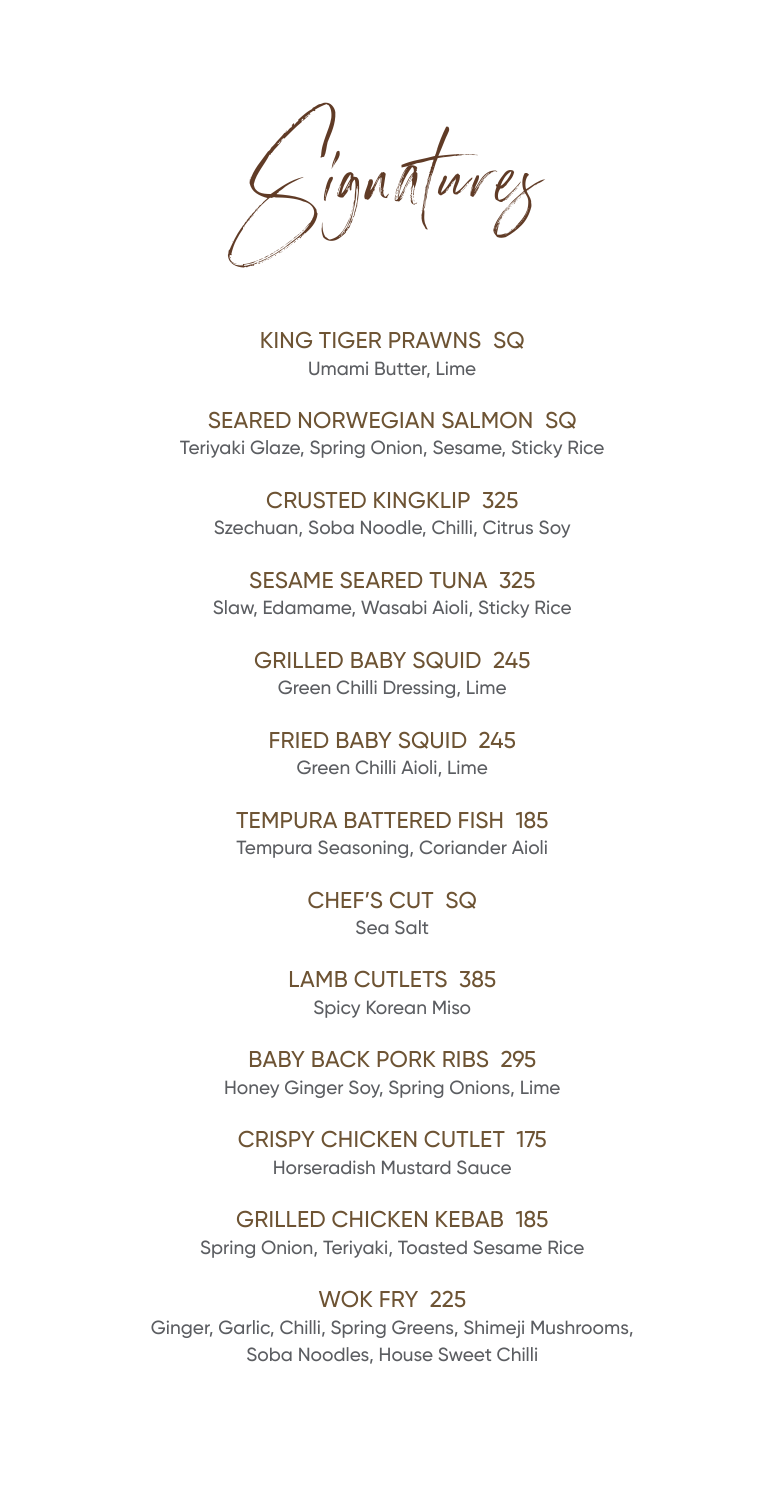Signatures

KING TIGER PRAWNS SQ Umami Butter, Lime

SEARED NORWEGIAN SALMON SQ Teriyaki Glaze, Spring Onion, Sesame, Sticky Rice

CRUSTED KINGKLIP 325 Szechuan, Soba Noodle, Chilli, Citrus Soy

SESAME SEARED TUNA 325 Slaw, Edamame, Wasabi Aioli, Sticky Rice

> GRILLED BABY SQUID 245 Green Chilli Dressing, Lime

FRIED BABY SQUID 245 Green Chilli Aioli, Lime

TEMPURA BATTERED FISH 185

Tempura Seasoning, Coriander Aioli

CHEF'S CUT SQ Sea Salt

LAMB CUTLETS 385 Spicy Korean Miso

BABY BACK PORK RIBS 295 Honey Ginger Soy, Spring Onions, Lime

CRISPY CHICKEN CUTLET 175 Horseradish Mustard Sauce

GRILLED CHICKEN KEBAB 185 Spring Onion, Teriyaki, Toasted Sesame Rice

# WOK FRY 225

Ginger, Garlic, Chilli, Spring Greens, Shimeji Mushrooms, Soba Noodles, House Sweet Chilli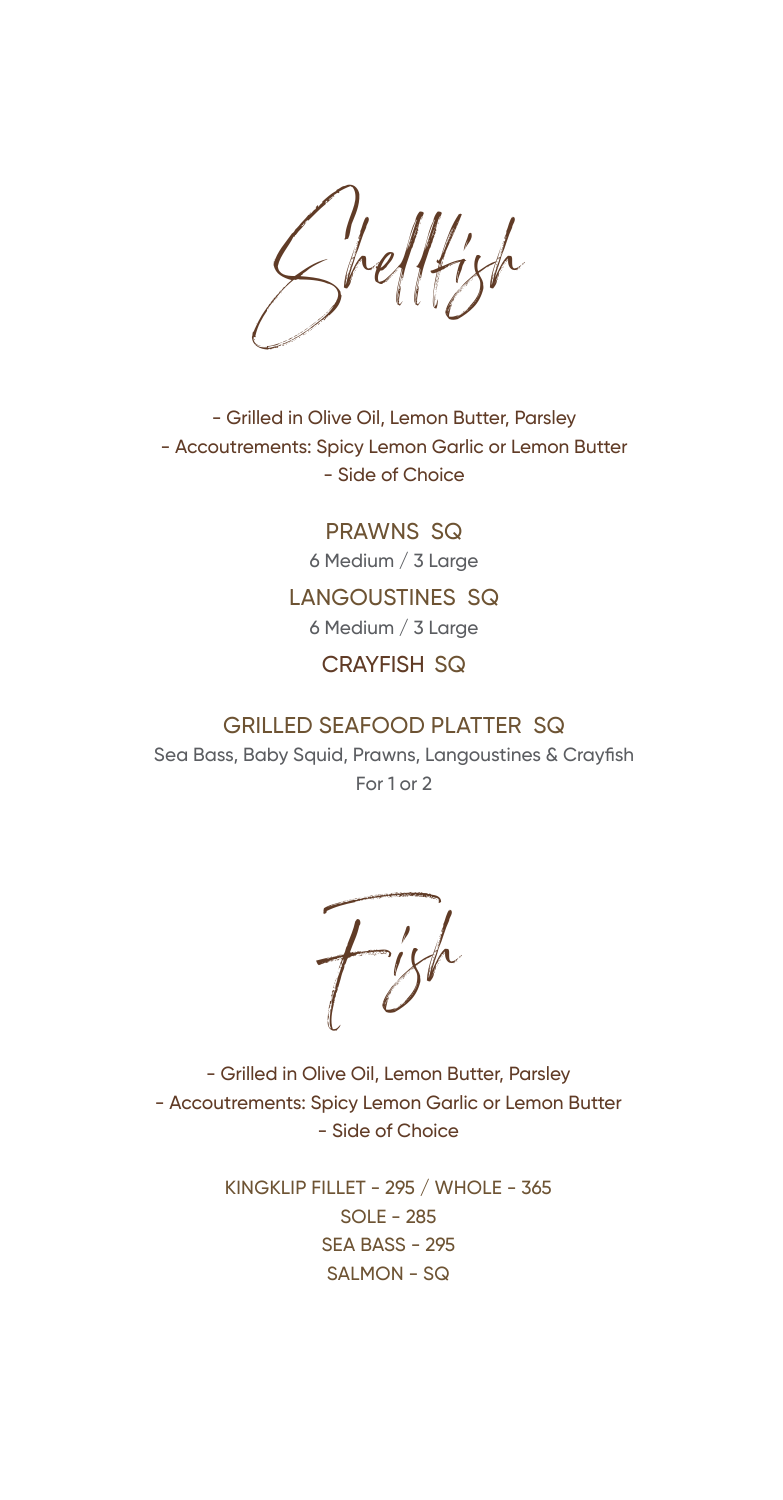Shellfish

- Grilled in Olive Oil, Lemon Butter, Parsley - Accoutrements: Spicy Lemon Garlic or Lemon Butter - Side of Choice

> PRAWNS SQ 6 Medium / 3 Large

### LANGOUSTINES SQ

6 Medium / 3 Large

### CRAYFISH SQ

### GRILLED SEAFOOD PLATTER SQ

Sea Bass, Baby Squid, Prawns, Langoustines & Crayfish For 1 or 2

 $L_{ijk}$ 

- Grilled in Olive Oil, Lemon Butter, Parsley - Accoutrements: Spicy Lemon Garlic or Lemon Butter - Side of Choice

> KINGKLIP FILLET - 295 / WHOLE - 365 SOLE - 285 SEA BASS - 295 SALMON - SQ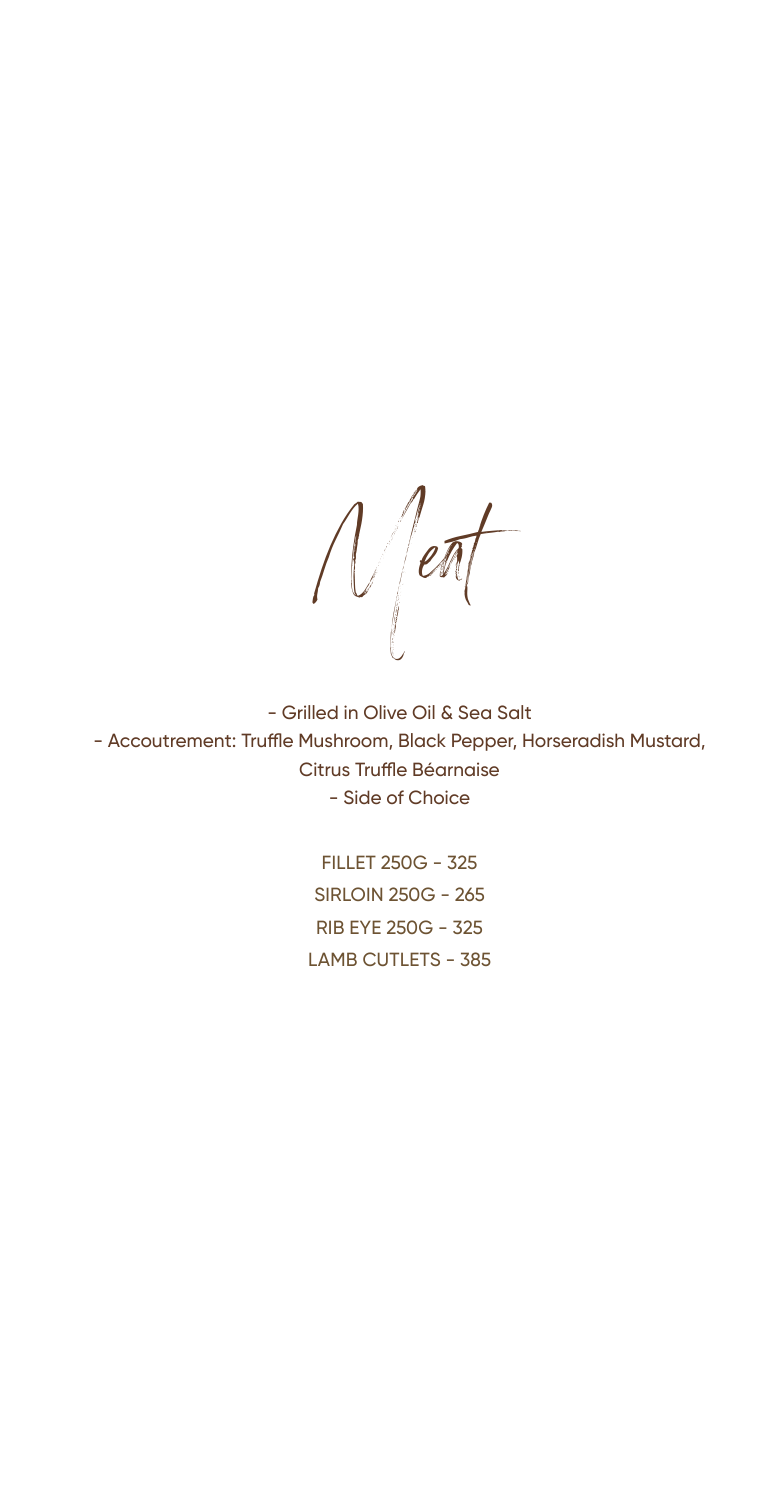Meat

- Grilled in Olive Oil & Sea Salt - Accoutrement: Truffle Mushroom, Black Pepper, Horseradish Mustard, Citrus Truffle Béarnaise - Side of Choice

> FILLET 250G - 325 SIRLOIN 250G - 265 RIB EYE 250G - 325 LAMB CUTLETS - 385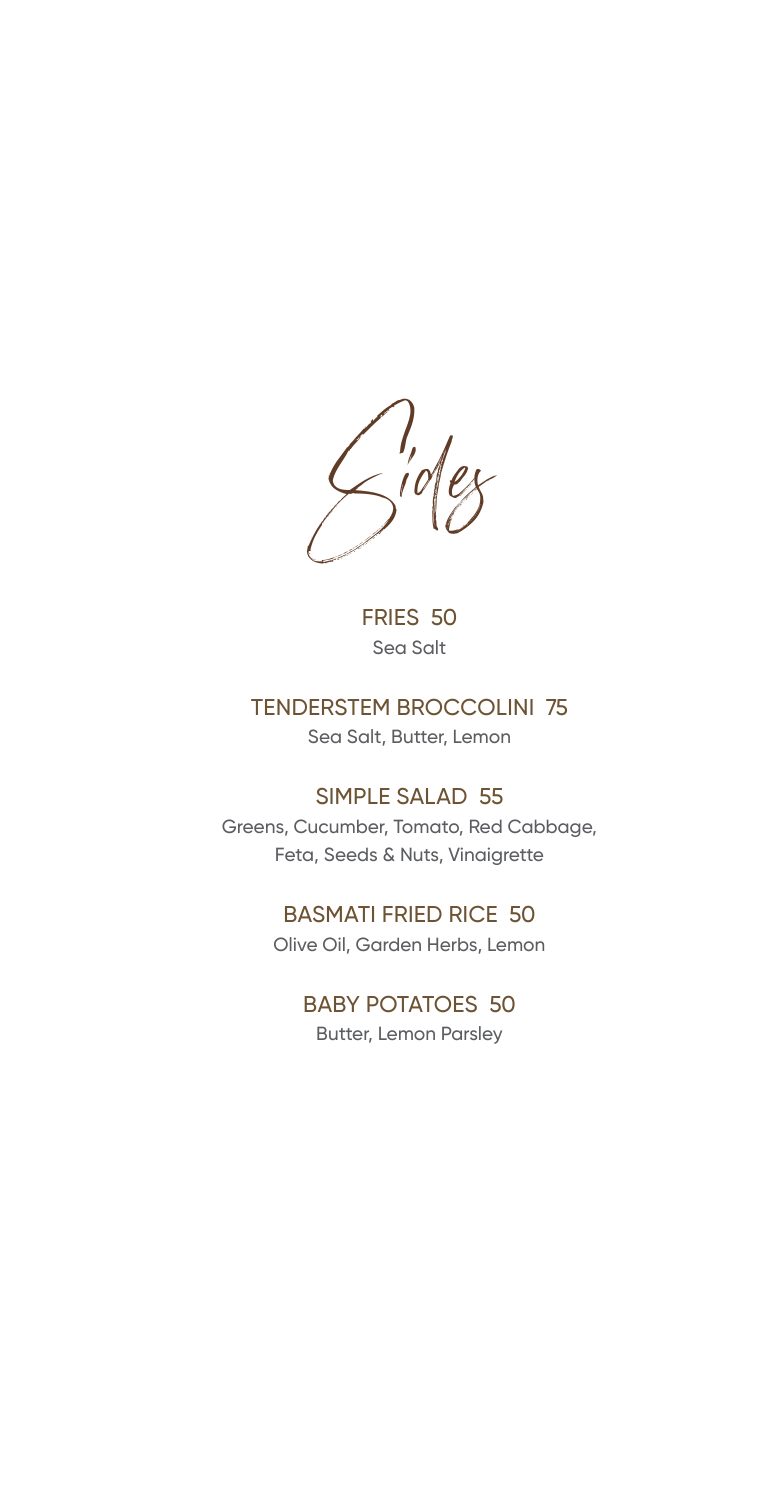Sides

FRIES 50 Sea Salt

## TENDERSTEM BROCCOLINI 75

Sea Salt, Butter, Lemon

### SIMPLE SALAD 55

Greens, Cucumber, Tomato, Red Cabbage, Feta, Seeds & Nuts, Vinaigrette

## BASMATI FRIED RICE 50

Olive Oil, Garden Herbs, Lemon

## BABY POTATOES 50

Butter, Lemon Parsley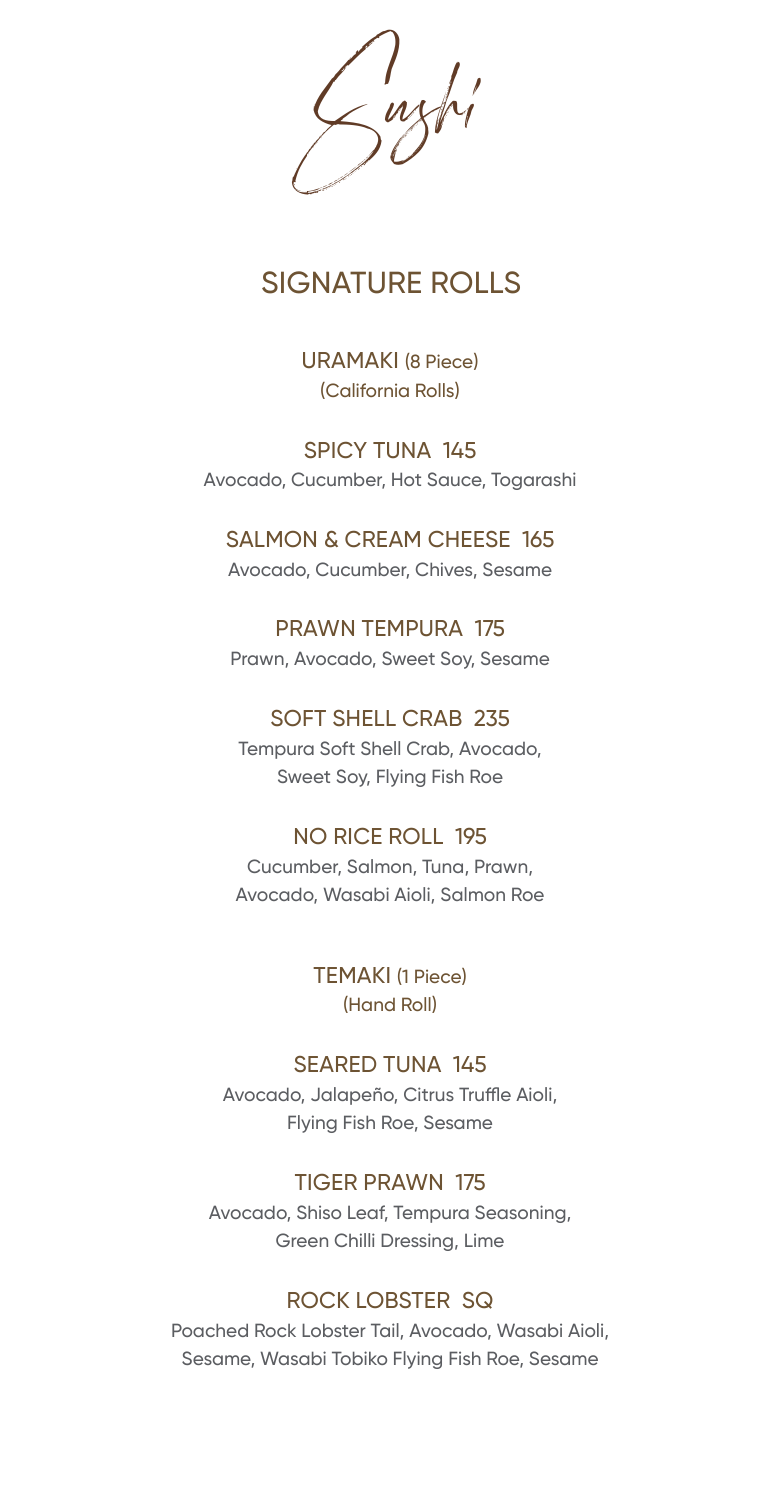Sushi

# SIGNATURE ROLLS

URAMAKI (8 Piece) (California Rolls)

SPICY TUNA 145 Avocado, Cucumber, Hot Sauce, Togarashi

# SALMON & CREAM CHEESE 165

Avocado, Cucumber, Chives, Sesame

PRAWN TEMPURA 175 Prawn, Avocado, Sweet Soy, Sesame

SOFT SHELL CRAB 235 Tempura Soft Shell Crab, Avocado, Sweet Soy, Flying Fish Roe

NO RICE ROLL 195 Cucumber, Salmon, Tuna, Prawn, Avocado, Wasabi Aioli, Salmon Roe

> TEMAKI (1 Piece) (Hand Roll)

# SEARED TUNA 145

Avocado, Jalapeño, Citrus Truffle Aioli, Flying Fish Roe, Sesame

# TIGER PRAWN 175

Avocado, Shiso Leaf, Tempura Seasoning, Green Chilli Dressing, Lime

# ROCK LOBSTER SQ

Poached Rock Lobster Tail, Avocado, Wasabi Aioli, Sesame, Wasabi Tobiko Flying Fish Roe, Sesame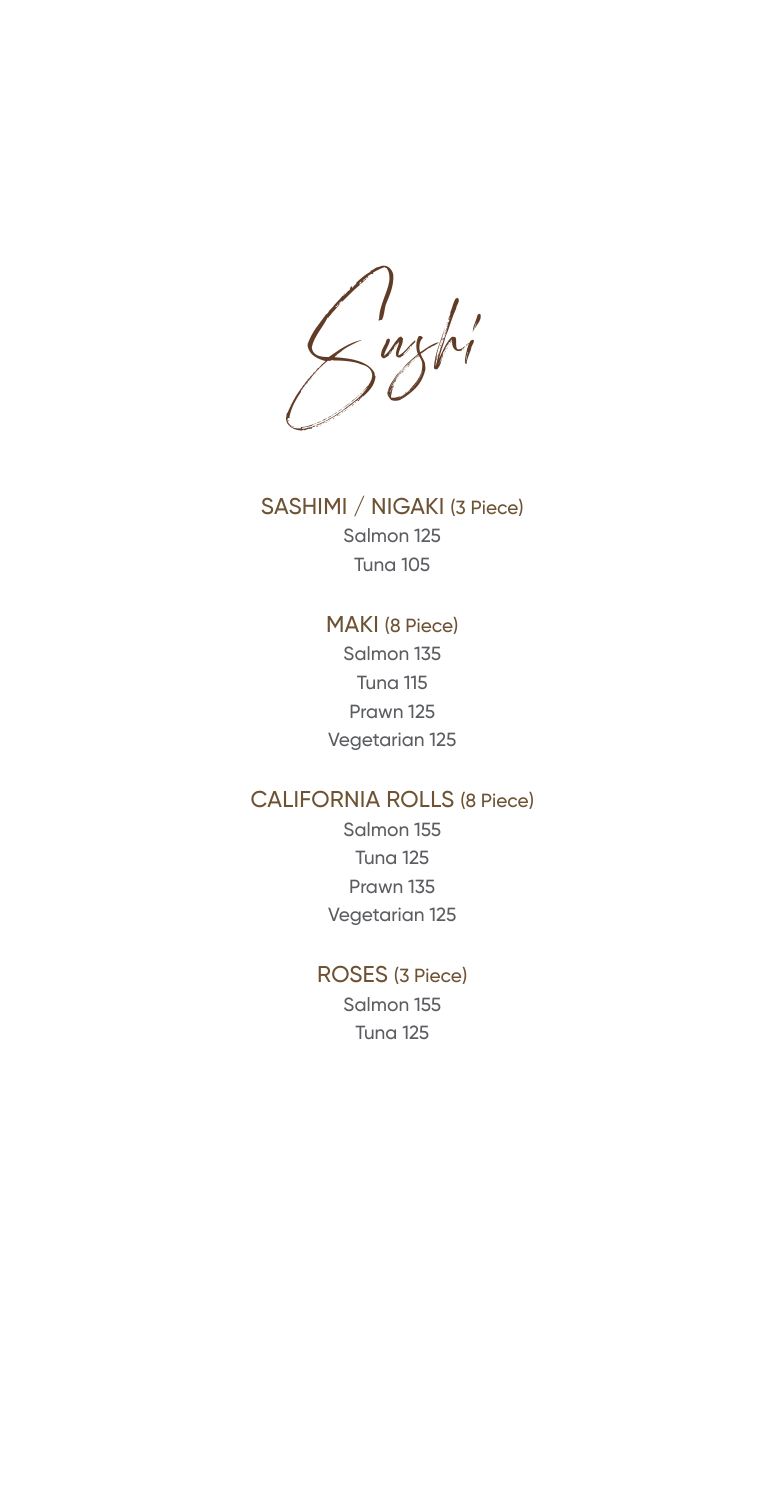Sushi

# SASHIMI / NIGAKI (3 Piece)

Salmon 125 Tuna 105

#### MAKI (8 Piece)

Salmon 135 Tuna 115 Prawn 125 Vegetarian 125

# CALIFORNIA ROLLS (8 Piece)

Salmon 155 Tuna 125 Prawn 135 Vegetarian 125

## ROSES (3 Piece)

Salmon 155 Tuna 125